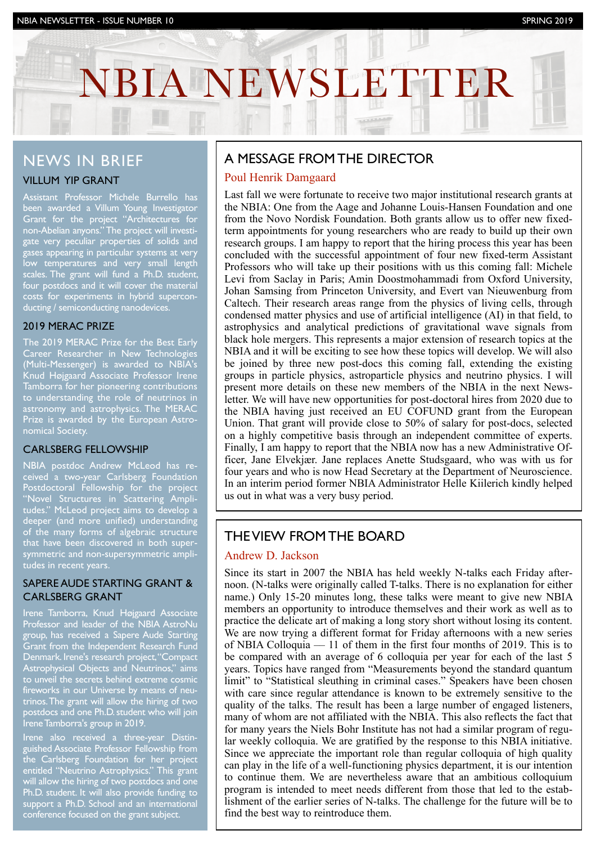# NBIA NEWSLETTER

INVESTOR NEWSLETTER IS NEWSLET AND A NEWSLETTER ISSUE NEWSLETTER IS NEWSLET AND A NEWSLETTER IS NOT A NEW YORK

# NEWS IN BRIEF

# VILLUM YIP GRANT

Assistant Professor Michele Burrello has been awarded a Villum Young Investigator Grant for the project "Architectures for non-Abelian anyons." The project will investigate very peculiar properties of solids and gases appearing in particular systems at very low temperatures and very small length scales. The grant will fund a Ph.D. student, four postdocs and it will cover the material costs for experiments in hybrid superconducting / semiconducting nanodevices.

### 2019 MERAC PRIZE

The 2019 MERAC Prize for the Best Early Career Researcher in New Technologies (Multi-Messenger) is awarded to NBIA's Knud Højgaard Associate Professor Irene Tamborra for her pioneering contributions to understanding the role of neutrinos in astronomy and astrophysics. The MERAC Prize is awarded by the European Astronomical Society.

### CARLSBERG FELLOWSHIP

NBIA postdoc Andrew McLeod has received a two-year Carlsberg Foundation Postdoctoral Fellowship for the project "Novel Structures in Scattering Amplitudes." McLeod project aims to develop a deeper (and more unified) understanding of the many forms of algebraic structure that have been discovered in both supersymmetric and non-supersymmetric amplitudes in recent years.

### SAPERE AUDE STARTING GRANT & CARLSBERG GRANT

Irene Tamborra, Knud Højgaard Associate Professor and leader of the NBIA AstroNu group, has received a Sapere Aude Starting Grant from the Independent Research Fund Denmark. Irene's research project, "Compact Astrophysical Objects and Neutrinos," aims to unveil the secrets behind extreme cosmic fireworks in our Universe by means of neutrinos. The grant will allow the hiring of two postdocs and one Ph.D. student who will join Irene Tamborra's group in 2019.

Irene also received a three-year Distinguished Associate Professor Fellowship from the Carlsberg Foundation for her project entitled "Neutrino Astrophysics." This grant will allow the hiring of two postdocs and one Ph.D. student. It will also provide funding to support a Ph.D. School and an international conference focused on the grant subject.

# A MESSAGE FROM THE DIRECTOR

### Poul Henrik Damgaard

Last fall we were fortunate to receive two major institutional research grants at the NBIA: One from the Aage and Johanne Louis-Hansen Foundation and one from the Novo Nordisk Foundation. Both grants allow us to offer new fixedterm appointments for young researchers who are ready to build up their own research groups. I am happy to report that the hiring process this year has been concluded with the successful appointment of four new fixed-term Assistant Professors who will take up their positions with us this coming fall: Michele Levi from Saclay in Paris; Amin Doostmohammadi from Oxford University, Johan Samsing from Princeton University, and Evert van Nieuwenburg from Caltech. Their research areas range from the physics of living cells, through condensed matter physics and use of artificial intelligence (AI) in that field, to astrophysics and analytical predictions of gravitational wave signals from black hole mergers. This represents a major extension of research topics at the NBIA and it will be exciting to see how these topics will develop. We will also be joined by three new post-docs this coming fall, extending the existing groups in particle physics, astroparticle physics and neutrino physics. I will present more details on these new members of the NBIA in the next Newsletter. We will have new opportunities for post-doctoral hires from 2020 due to the NBIA having just received an EU COFUND grant from the European Union. That grant will provide close to 50% of salary for post-docs, selected on a highly competitive basis through an independent committee of experts. Finally, I am happy to report that the NBIA now has a new Administrative Officer, Jane Elvekjær. Jane replaces Anette Studsgaard, who was with us for four years and who is now Head Secretary at the Department of Neuroscience. In an interim period former NBIA Administrator Helle Kiilerich kindly helped us out in what was a very busy period.

# THE VIEW FROM THE BOARD

# Andrew D. Jackson

Since its start in 2007 the NBIA has held weekly N-talks each Friday afternoon. (N-talks were originally called T-talks. There is no explanation for either name.) Only 15-20 minutes long, these talks were meant to give new NBIA members an opportunity to introduce themselves and their work as well as to practice the delicate art of making a long story short without losing its content. We are now trying a different format for Friday afternoons with a new series of NBIA Colloquia –– 11 of them in the first four months of 2019. This is to be compared with an average of 6 colloquia per year for each of the last 5 years. Topics have ranged from "Measurements beyond the standard quantum limit" to "Statistical sleuthing in criminal cases." Speakers have been chosen with care since regular attendance is known to be extremely sensitive to the quality of the talks. The result has been a large number of engaged listeners, many of whom are not affiliated with the NBIA. This also reflects the fact that for many years the Niels Bohr Institute has not had a similar program of regular weekly colloquia. We are gratified by the response to this NBIA initiative. Since we appreciate the important role than regular colloquia of high quality can play in the life of a well-functioning physics department, it is our intention to continue them. We are nevertheless aware that an ambitious colloquium program is intended to meet needs different from those that led to the establishment of the earlier series of N-talks. The challenge for the future will be to find the best way to reintroduce them.